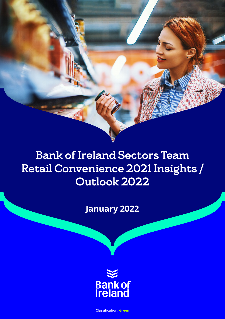# Bank of Ireland Sectors Team Retail Convenience 2021 Insights / Outlook 2022

**January 2022**



**Classification: Green**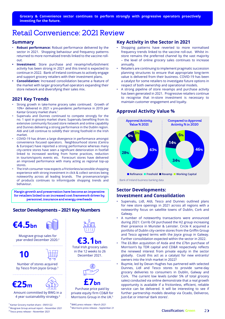### <span id="page-1-0"></span>Retail Convenience: 2021 Review

#### **Summary**

- **Robust performance:** Robust performance delivered by the sector in 2021. Shopping behaviour and frequency patterns returned to more normalised trends linked to the vaccine rollout.
- **• Investment:** Store purchase and revamp/refurbishment activity has been strong in 2021 and this trend is expected to continue in 2022. Bank of Ireland continues to actively engage and support grocery retailers with their investment plans.
- **• Consolidation:** Increased consolidation became a feature of the market with larger grocery/fuel operators expanding their store network and diversifying their sales mix.

#### **2021 Key Trends**

- Strong growth in take-home grocery sales continued. Growth of 10%+ delivered in 2021 v pre-pandemic performance in 2019 per Kantar Grocery market share.<sup>1</sup>
- Supervalu and Dunnes continued to compete strongly for the no. 1 spot in grocery market share; Supervalu benefiting from its extensive community focused store network and online capability and Dunnes delivering a strong performance in the Dublin region. Aldi and Lidl continue to solidify their strong foothold in the Irish market.
- COVID-19 has driven a large divergence in performance amongst convenience focused operators. Neighbourhood stores (Centra & Eurospar) have reported a strong performance whereas many city-centre stores have seen a significant deterioration in footfall linked to increased working from home practices, reduction in tourism/sports events etc. Forecourt stores have delivered an improved performance with many acting as regional top-up stores.
- The Irish consumer now expects a frictionless/accessible shopping experience with strong investment in click & collect services being noteworthy across all leading brands. The provenance/origin of products continues to inform/guide shopping trends and behaviour.

Margin growth and preservation have become an imperative for retailers linked to an increased cost framework driven by personnel, insurance and energy overheads

#### **Sector Developments – 2021 Key Numbers**





Musgrave group sales for year ended December 2020.<sup>2</sup>



Number of stores acquired

### by Tesco from Joyce Group.<sup>3</sup>



Amount committed by BWG in a 4 year sustainability strategy.4

1 Kantar Grocery market share – 09/01/22 2 Musgrave Group annual report – November 2021 3 Tesco press release – November 2021





in the 12 weeks to 26 December 2021.



### **£7bn**

Purchase price paid by private equity firm CD&R for Morrisons Group in the UK.<sup>5</sup>

4 BWG press release – March 2021 5 Morrisons press release – September 21

#### **Key Activity in the Sector in 2021**

- Shopping patterns have reverted to more normalised frequency trends linked to the vaccine roll-out. Whilst instore remains the preferred channel by the vast majority – the level of online grocery sales continues to increase annually*.*
- Retailers are continuing to implement pragmatic succession planning structures to ensure that appropriate long-term value is delivered from their business. COVID-19 has been a catalyst for some retailers to investigate future options in respect of both ownership and operational models.
- A strong pipeline of store revamps and purchase activity has been generated in 2021. Progressive retailers continue to recognise that in-store investment is necessary to maintain customer engagement and loyalty.

#### **Approval Activity Value %**



#### Bank of Ireland business banking data

#### **Sector Developments: Investment and Consolidation**

- Supervalu, Lidl, Aldi, Tesco and Dunnes outlined plans for new store openings in 2021 across all regions with a noteworthy focus on satellite towns of Dublin, Cork and Galway.
- A number of noteworthy transactions were announced during 2021: Corrib Oil purchased the H2 group increasing their presence in Munster & Leinster. Circle K acquired a portfolio of Dublin city-centre stores from the Griffin Group and Tesco agreed terms with the Joyce group in Galway. Further consolidation expected within the sector in 2022.
- The £6.8bn acquisition of Asda and the £7bn purchase of Morrison's by TDR capital and CD&R respectively reflects the renewed interest from private equity in the sector globally. Could this act as a catalyst for new entrants/ owners into the Irish market in 2022?
- Buymie, led by Devan Hughes has partnered with selected Dunnes, Lidl and Tesco stores to provide same-day grocery deliveries to consumers in Dublin, Galway and Cork. The current low levels (under 5% of total grocery sales) conducted via online demonstrate that a real growth opportunity is available if a frictionless, efficient, reliable service can be delivered. It will be interesting to see if further partnership models develop via Ocado, Deliveroo, Just-Eat or internal 'dark stores'.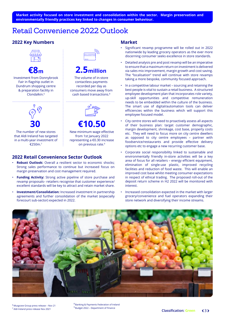#### <span id="page-2-0"></span>**Market activity focused on store investment and consolidation within the sector. Margin preservation and environmentally friendly practices key linked to changes in consumer behaviour.**

### Retail Convenience 2022 Outlook

### **2022 Key Numbers**



**€8m**

Investment from Donnybrook Fair in flagship outlet in Dundrum shopping centre & preparation facility in Clondalkin.<sup>6</sup>



The number of new stores that Aldi Ireland has targeted in a multi-year investment of  $£250m$ <sup>7</sup>

## **2.5million**

The volume of in-store contactless payments recorded per day as consumers move away from cash based transactions.8



#### New minimum wage effective from 1st January 2022 **€10.50**

representing a €0.30 increase on previous rate.<sup>9</sup>

#### **2022 Retail Convenience Sector Outlook**

- **Robust Outlook:** Overall a resilient sector to economic shocks; Strong sales performance to continue but increased focus on margin preservation and cost management required.
- **Funding Activity:** Strong active pipeline of store purchase and revamp proposals– retailers recognise that customer experience/ excellent standards will be key to attract and retain market share.
- **Investment/Consolidation:** Increased investment in partnership agreements and further consolidation of the market (especially forecourt sub-sector) expected in 2022.

#### **Market**

- Significant revamp programme will be rolled out in 2022 nationwide by leading grocery operators as the ever more discerning consumer seeks excellence in store standards.
- Detailed analysis pre and post revamp will be an imperative to ensure that a maximum return on investment is delivered via sales mix improvement, margin growth and cost saving. The "localisation" trend will continue with store revamps taking a more bespoke, community focused approach.
- In a competitive labour market sourcing and retaining the best people is vital to sustain a retail business. A structured employee development plan that incorporates role variety, up-skill opportunities and competitive remuneration needs to be embedded within the culture of the business. The smart use of digital/automation tools can deliver efficiencies within the business which will support this employee focused model.
- City centre stores will need to proactively assess all aspects of their business plan: target customer demographic, margin development, shrinkage, cost base, property costs etc. They will need to focus more on city centre dwellers as opposed to city centre employees – partner with foodservice/restaurants and provide effective delivery options etc to engage a new recurring customer base.
- Corporate social responsibility linked to sustainable and environmentally friendly in-store activities will be a key area of focus for all retailers – energy efficient equipment, elimination of single-use plastic, improved recycling facilities and reduction of food waste. This will enable an improved cost base whilst meeting consumer expectations in respect of ethical trading. The proposed roll-out of the deposit return scheme in H2 2022 will be monitored with interest.
- Increased consolidation expected in the market with larger grocery/convenience and fuel operators expanding their store network and diversifying their income streams.



6 Musgrave Group press release – Nov 21 7 Aldi Ireland press release Nov 2021

8 Banking & Payments Federation of Ireland 9 Budget 2022 – Department of Finance